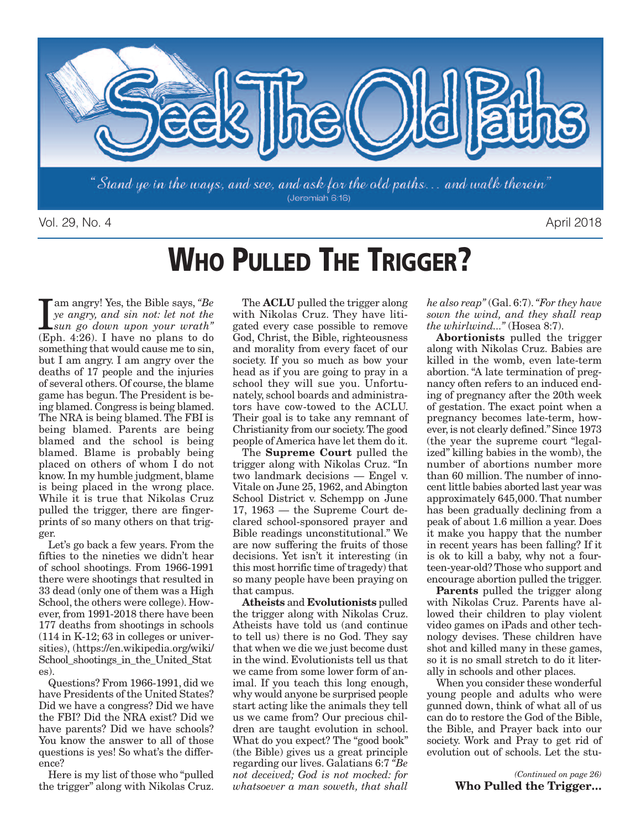

Vol. 29, No. 4 April 2018

# **WHO PULLED THE TRIGGER?**

I am angry! Yes, the Bible says, "Be ye angry, and sin not: let not the sun go down upon your wrath"<br>(Eph. 4:26). I have no plans to do am angry! Yes, the Bible says, *"Be ye angry, and sin not: let not the sun go down upon your wrath"* something that would cause me to sin, but I am angry. I am angry over the deaths of 17 people and the injuries of several others. Of course,the blame game has begun.The President is being blamed. Congress is being blamed. The NRA is being blamed.The FBI is being blamed. Parents are being blamed and the school is being blamed. Blame is probably being placed on others of whom I do not know. In my humble judgment, blame is being placed in the wrong place. While it is true that Nikolas Cruz pulled the trigger, there are fingerprints of so many others on that trigger.

Let's go back a few years. From the fifties to the nineties we didn't hear of school shootings. From 1966-1991 there were shootings that resulted in 33 dead (only one of them was a High School, the others were college). However, from 1991-2018 there have been 177 deaths from shootings in schools (114 in K-12; 63 in colleges or universities), (https://en.wikipedia.org/wiki/ School shootings in the United Stat es).

Questions? From 1966-1991, did we have Presidents of the United States? Did we have a congress? Did we have the FBI? Did the NRA exist? Did we have parents? Did we have schools? You know the answer to all of those questions is yes! So what's the difference?

Here is my list of those who "pulled the trigger" along with Nikolas Cruz.

The **ACLU** pulled the trigger along with Nikolas Cruz. They have litigated every case possible to remove God, Christ, the Bible, righteousness and morality from every facet of our society. If you so much as bow your head as if you are going to pray in a school they will sue you. Unfortunately, school boards and administrators have cow-towed to the ACLU. Their goal is to take any remnant of Christianity from our society.The good people of America have let them do it.

The **Supreme Court** pulled the trigger along with Nikolas Cruz. "In two landmark decisions — Engel v. Vitale on June 25, 1962, and Abington School District v. Schempp on June 17, 1963 — the Supreme Court declared school-sponsored prayer and Bible readings unconstitutional." We are now suffering the fruits of those decisions. Yet isn't it interesting (in this most horrific time of tragedy) that so many people have been praying on that campus.

**Atheists** and **Evolutionists** pulled the trigger along with Nikolas Cruz. Atheists have told us (and continue to tell us) there is no God. They say that when we die we just become dust in the wind. Evolutionists tell us that we came from some lower form of animal. If you teach this long enough, why would anyone be surprised people start acting like the animals they tell us we came from? Our precious children are taught evolution in school. What do you expect? The "good book" (the Bible) gives us a great principle regarding our lives. Galatians 6:7 *"Be not deceived; God is not mocked: for whatsoever a man soweth, that shall*

*he also reap"* (Gal. 6:7).*"For they have sown the wind, and they shall reap the whirlwind..."* (Hosea 8:7).

**Abortionists** pulled the trigger along with Nikolas Cruz. Babies are killed in the womb, even late-term abortion. "A late termination of pregnancy often refers to an induced ending of pregnancy after the 20th week of gestation. The exact point when a pregnancy becomes late-term, however, is not clearly defined." Since 1973 (the year the supreme court "legalized" killing babies in the womb), the number of abortions number more than 60 million. The number of innocent little babies aborted last year was approximately 645,000.That number has been gradually declining from a peak of about 1.6 million a year. Does it make you happy that the number in recent years has been falling? If it is ok to kill a baby, why not a fourteen-year-old? Those who support and encourage abortion pulled the trigger.

**Parents** pulled the trigger along with Nikolas Cruz. Parents have allowed their children to play violent video games on iPads and other technology devises. These children have shot and killed many in these games, so it is no small stretch to do it literally in schools and other places.

When you consider these wonderful young people and adults who were gunned down, think of what all of us can do to restore the God of the Bible, the Bible, and Prayer back into our society. Work and Pray to get rid of evolution out of schools. Let the stu-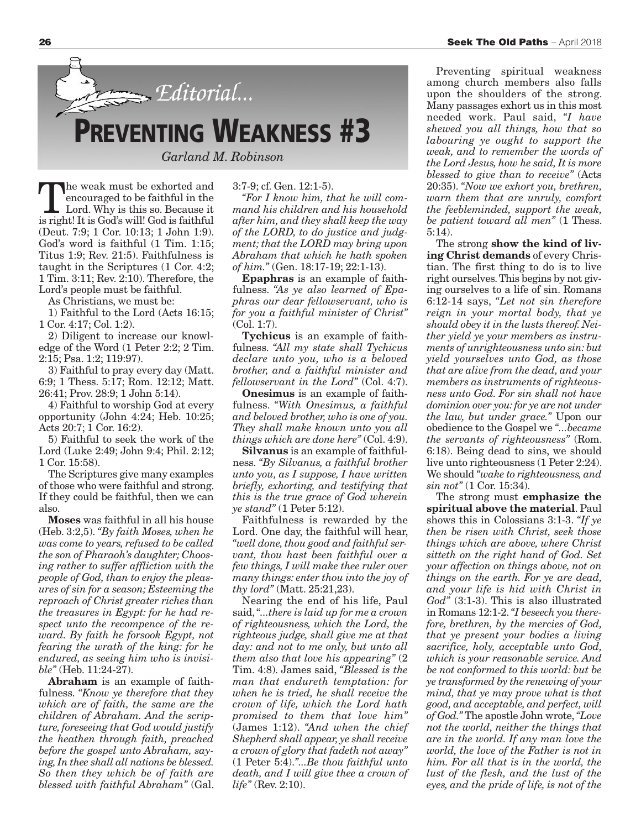

The weak must be exhorted and encouraged to be faithful in the Lord. Why is this so. Because it is right! It is God's will! God is faithful (Deut. 7:9; 1 Cor. 10:13; 1 John 1:9). God's word is faithful (1 Tim. 1:15; Titus 1:9; Rev. 21:5). Faithfulness is taught in the Scriptures (1 Cor. 4:2; 1 Tim. 3:11; Rev. 2:10). Therefore, the Lord's people must be faithful.

As Christians, we must be:

1) Faithful to the Lord (Acts 16:15; 1 Cor. 4:17; Col. 1:2).

2) Diligent to increase our knowledge of the Word (1 Peter 2:2; 2 Tim. 2:15; Psa. 1:2; 119:97).

3) Faithful to pray every day (Matt. 6:9; 1 Thess. 5:17; Rom. 12:12; Matt. 26:41; Prov. 28:9; 1 John 5:14).

4) Faithful to worship God at every opportunity (John 4:24; Heb. 10:25; Acts 20:7; 1 Cor. 16:2).

5) Faithful to seek the work of the Lord (Luke 2:49; John 9:4; Phil. 2:12; 1 Cor. 15:58).

The Scriptures give many examples of those who were faithful and strong. If they could be faithful, then we can also.

**Moses** was faithful in all his house (Heb. 3:2,5). *"By faith Moses, when he was come to years, refused to be called the son of Pharaoh's daughter; Choosing rather to suffer affliction with the people of God, than to enjoy the pleasures of sin for a season; Esteeming the reproach of Christ greater riches than the treasures in Egypt: for he had respect unto the recompence of the reward. By faith he forsook Egypt, not fearing the wrath of the king: for he endured, as seeing him who is invisible"* (Heb. 11:24-27).

**Abraham** is an example of faithfulness. *"Know ye therefore that they which are of faith, the same are the children of Abraham. And the scripture, foreseeing that God would justify the heathen through faith, preached before the gospel unto Abraham, saying, In thee shall all nations be blessed. So then they which be of faith are blessed with faithful Abraham"* (Gal. 3:7-9; cf. Gen. 12:1-5).

*"For I know him, that he will command his children and his household after him, and they shall keep the way of the LORD, to do justice and judgment; that the LORD may bring upon Abraham that which he hath spoken of him."* (Gen. 18:17-19; 22:1-13).

**Epaphras** is an example of faithfulness. *"As ye also learned of Epaphras our dear fellowservant, who is for you a faithful minister of Christ"* (Col. 1:7).

**Tychicus** is an example of faithfulness. *"All my state shall Tychicus declare unto you, who is a beloved brother, and a faithful minister and fellowservant in the Lord"* (Col. 4:7).

**Onesimus** is an example of faithfulness. *"With Onesimus, a faithful and beloved brother, who is one of you. They shall make known unto you all things which are done here"* (Col. 4:9).

**Silvanus** is an example of faithfulness. *"By Silvanus, a faithful brother unto you, as I suppose, I have written briefly, exhorting, and testifying that this is the true grace of God wherein ye stand"* (1 Peter 5:12).

Faithfulness is rewarded by the Lord. One day, the faithful will hear, *"well done, thou good and faithful servant, thou hast been faithful over a few things, I will make thee ruler over many things: enter thou into the joy of thy lord"* (Matt. 25:21,23).

Nearing the end of his life, Paul said,"*...there is laid up for me a crown of righteousness, which the Lord, the righteous judge, shall give me at that day: and not to me only, but unto all them also that love his appearing"* (2 Tim. 4:8). James said, *"Blessed is the man that endureth temptation: for when he is tried, he shall receive the crown of life, which the Lord hath promised to them that love him"* (James 1:12). *"And when the chief Shepherd shall appear, ye shall receive a crown of glory that fadeth not away"* (1 Peter 5:4).*"...Be thou faithful unto death, and I will give thee a crown of life"* (Rev. 2:10).

Preventing spiritual weakness among church members also falls upon the shoulders of the strong. Many passages exhort us in this most needed work. Paul said, *"I have shewed you all things, how that so labouring ye ought to support the weak, and to remember the words of the Lord Jesus, how he said, It is more blessed to give than to receive"* (Acts 20:35). *"Now we exhort you, brethren, warn them that are unruly, comfort the feebleminded, support the weak, be patient toward all men"* (1 Thess. 5:14).

The strong **show the kind of living Christ demands** of every Christian. The first thing to do is to live right ourselves.This begins by not giving ourselves to a life of sin. Romans 6:12-14 says, *"Let not sin therefore reign in your mortal body, that ye should obey it in the lusts thereof. Neither yield ye your members as instruments of unrighteousness unto sin: but yield yourselves unto God, as those that are alive from the dead, and your members as instruments of righteousness unto God. For sin shall not have dominion over you:for ye are not under the law, but under grace."* Upon our obedience to the Gospel we *"...became the servants of righteousness"* (Rom. 6:18). Being dead to sins, we should live unto righteousness (1 Peter 2:24). We should *"wake to righteousness, and sin not"* (1 Cor. 15:34).

The strong must **emphasize the spiritual above the material**. Paul shows this in Colossians 3:1-3. *"If ye then be risen with Christ, seek those things which are above, where Christ sitteth on the right hand of God. Set your affection on things above, not on things on the earth. For ye are dead, and your life is hid with Christ in God"* (3:1-3). This is also illustrated in Romans 12:1-2.*"I beseech you therefore, brethren, by the mercies of God, that ye present your bodies a living sacrifice, holy, acceptable unto God, which is your reasonable service. And be not conformed to this world: but be ye transformed by the renewing of your mind, that ye may prove what is that good, and acceptable, and perfect, will of God."* The apostle John wrote,*"Love not the world, neither the things that are in the world. If any man love the world, the love of the Father is not in him. For all that is in the world, the lust of the flesh, and the lust of the eyes, and the pride of life, is not of the*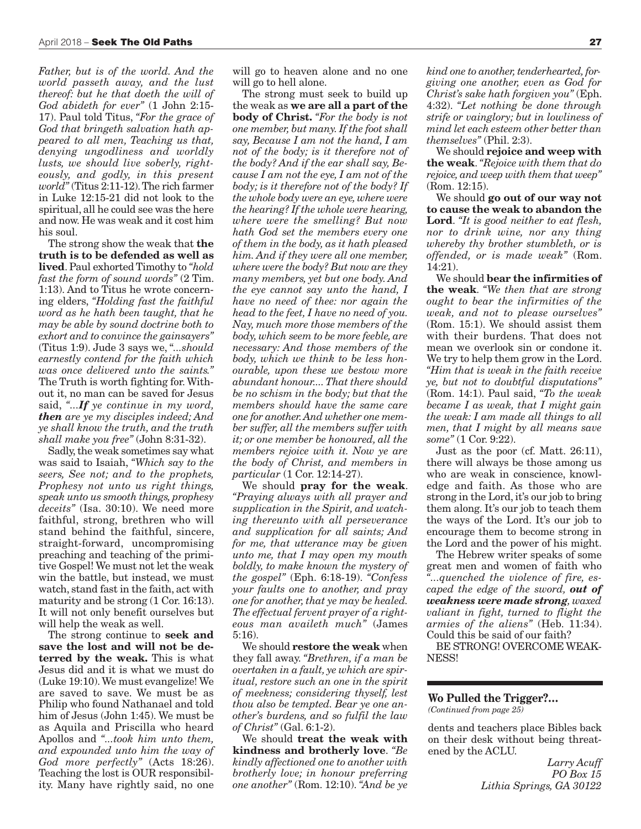*Father, but is of the world. And the world passeth away, and the lust thereof: but he that doeth the will of God abideth for ever"* (1 John 2:15- 17). Paul told Titus, *"For the grace of God that bringeth salvation hath appeared to all men, Teaching us that, denying ungodliness and worldly lusts, we should live soberly, righteously, and godly, in this present world"* (Titus 2:11-12).The rich farmer in Luke 12:15-21 did not look to the spiritual, all he could see was the here and now. He was weak and it cost him his soul.

The strong show the weak that **the truth is to be defended as well as lived**. Paul exhorted Timothy to *"hold fast the form of sound words"* (2 Tim. 1:13). And to Titus he wrote concerning elders, *"Holding fast the faithful word as he hath been taught, that he may be able by sound doctrine both to exhort and to convince the gainsayers"* (Titus 1:9). Jude 3 says we, "*...should earnestly contend for the faith which was once delivered unto the saints."* The Truth is worth fighting for.Without it, no man can be saved for Jesus said, *"...If ye continue in my word, then are ye my disciples indeed; And ye shall know the truth, and the truth shall make you free"* (John 8:31-32).

Sadly, the weak sometimes say what was said to Isaiah, *"Which say to the seers, See not; and to the prophets, Prophesy not unto us right things, speak unto us smooth things, prophesy deceits"* (Isa. 30:10). We need more faithful, strong, brethren who will stand behind the faithful, sincere, straight-forward, uncompromising preaching and teaching of the primitive Gospel! We must not let the weak win the battle, but instead, we must watch, stand fast in the faith, act with maturity and be strong (1 Cor. 16:13). It will not only benefit ourselves but will help the weak as well.

The strong continue to **seek and save the lost and will not be deterred by the weak.** This is what Jesus did and it is what we must do (Luke 19:10).We must evangelize! We are saved to save. We must be as Philip who found Nathanael and told him of Jesus (John 1:45). We must be as Aquila and Priscilla who heard Apollos and *"...took him unto them, and expounded unto him the way of God more perfectly"* (Acts 18:26). Teaching the lost is OUR responsibility. Many have rightly said, no one

will go to heaven alone and no one will go to hell alone.

The strong must seek to build up the weak as **we are all a part of the body of Christ.** *"For the body is not one member, but many. If the foot shall say, Because I am not the hand, I am not of the body; is it therefore not of the body? And if the ear shall say, Because I am not the eye, I am not of the body; is it therefore not of the body? If the whole body were an eye, where were the hearing? If the whole were hearing, where were the smelling? But now hath God set the members every one of them in the body, as it hath pleased him. And if they were all one member, where were the body? But now are they many members, yet but one body. And the eye cannot say unto the hand, I have no need of thee: nor again the head to the feet, I have no need of you. Nay, much more those members of the body, which seem to be more feeble, are necessary: And those members of the body, which we think to be less honourable, upon these we bestow more abundant honour....That there should be no schism in the body; but that the members should have the same care one for another.And whether one member suffer, all the members suffer with it; or one member be honoured, all the members rejoice with it. Now ye are the body of Christ, and members in particular* (1 Cor. 12:14-27).

We should **pray for the weak**. *"Praying always with all prayer and supplication in the Spirit, and watching thereunto with all perseverance and supplication for all saints; And for me, that utterance may be given unto me, that I may open my mouth boldly, to make known the mystery of the gospel"* (Eph. 6:18-19). *"Confess your faults one to another, and pray one for another, that ye may be healed. The effectual fervent prayer of a righteous man availeth much"* (James 5:16).

We should **restore the weak** when they fall away. *"Brethren, if a man be overtaken in a fault, ye which are spiritual, restore such an one in the spirit of meekness; considering thyself, lest thou also be tempted. Bear ye one another's burdens, and so fulfil the law of Christ"* (Gal. 6:1-2).

We should **treat the weak with kindness and brotherly love**. *"Be kindly affectioned one to another with brotherly love; in honour preferring one another"* (Rom. 12:10). *"And be ye*  $\boldsymbol{k}$ *ind* one to another, tenderhearted, for*giving one another, even as God for Christ's sake hath forgiven you"* (Eph. 4:32). *"Let nothing be done through strife or vainglory; but in lowliness of mind let each esteem other better than themselves"* (Phil. 2:3).

We should **rejoice and weep with the weak**.*"Rejoice with them that do rejoice, and weep with them that weep"* (Rom. 12:15).

We should **go out of our way not to cause the weak to abandon the Lord**. *"It is good neither to eat flesh, nor to drink wine, nor any thing whereby thy brother stumbleth, or is offended, or is made weak"* (Rom. 14:21).

We should **bear the infirmities of the weak**. *"We then that are strong ought to bear the infirmities of the weak, and not to please ourselves"* (Rom. 15:1). We should assist them with their burdens. That does not mean we overlook sin or condone it. We try to help them grow in the Lord. *"Him that is weak in the faith receive ye, but not to doubtful disputations"* (Rom. 14:1). Paul said, *"To the weak became I as weak, that I might gain the weak: I am made all things to all men, that I might by all means save some"* (1 Cor. 9:22).

Just as the poor (cf. Matt. 26:11), there will always be those among us who are weak in conscience, knowledge and faith. As those who are strong in the Lord, it's our job to bring them along. It's our job to teach them the ways of the Lord. It's our job to encourage them to become strong in the Lord and the power of his might.

The Hebrew writer speaks of some great men and women of faith who *"...quenched the violence of fire, escaped the edge of the sword, out of weakness were made strong, waxed valiant in fight, turned to flight the armies of the aliens"* (Heb. 11:34). Could this be said of our faith?

BE STRONG! OVERCOME WEAK-NESS!

#### **Wo Pulled the Trigger?…**

*(Continued from page 25)*

dents and teachers place Bibles back on their desk without being threatened by the ACLU.

> *Larry Acuff PO Box 15 Lithia Springs, GA 30122*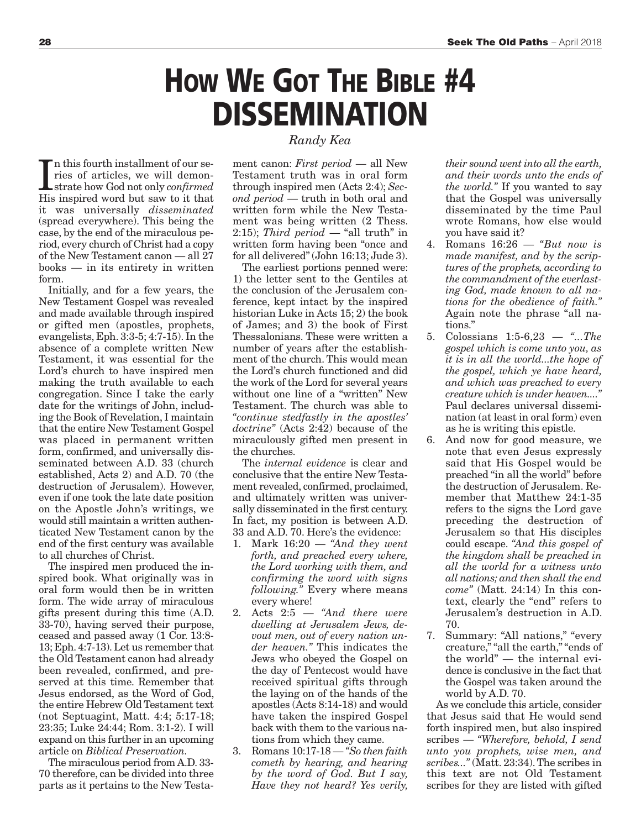# **HOW WE GOT THE BIBLE #4 DISSEMINATION**

In this fourth installment of our series of articles, we will demon-<br>strate how God not only *confirmed*<br>His inspired word but saw to it that n this fourth installment of our series of articles, we will demonstrate how God not only *confirmed* it was universally *disseminated* (spread everywhere). This being the case, by the end of the miraculous period, every church of Christ had a copy of the New Testament canon — all 27 books — in its entirety in written form.

Initially, and for a few years, the New Testament Gospel was revealed and made available through inspired or gifted men (apostles, prophets, evangelists, Eph. 3:3-5; 4:7-15). In the absence of a complete written New Testament, it was essential for the Lord's church to have inspired men making the truth available to each congregation. Since I take the early date for the writings of John, including the Book of Revelation, I maintain that the entire New Testament Gospel was placed in permanent written form, confirmed, and universally disseminated between A.D. 33 (church established, Acts 2) and A.D. 70 (the destruction of Jerusalem). However, even if one took the late date position on the Apostle John's writings, we would still maintain a written authenticated New Testament canon by the end of the first century was available to all churches of Christ.

The inspired men produced the inspired book. What originally was in oral form would then be in written form. The wide array of miraculous gifts present during this time (A.D. 33-70), having served their purpose, ceased and passed away (1 Cor. 13:8- 13; Eph. 4:7-13).Let us remember that the Old Testament canon had already been revealed, confirmed, and preserved at this time. Remember that Jesus endorsed, as the Word of God, the entire Hebrew Old Testament text (not Septuagint, Matt. 4:4; 5:17-18; 23:35; Luke 24:44; Rom. 3:1-2). I will expand on this further in an upcoming article on *Biblical Preservation.*

The miraculous period from A.D. 33- 70 therefore, can be divided into three parts as it pertains to the New Testa*Randy Kea*

ment canon: *First period* — all New Testament truth was in oral form through inspired men (Acts 2:4); *Second period* — truth in both oral and written form while the New Testament was being written (2 Thess. 2:15); *Third period* — "all truth" in written form having been "once and for all delivered"(John 16:13; Jude 3).

The earliest portions penned were: 1) the letter sent to the Gentiles at the conclusion of the Jerusalem conference, kept intact by the inspired historian Luke in Acts 15; 2) the book of James; and 3) the book of First Thessalonians. These were written a number of years after the establishment of the church. This would mean the Lord's church functioned and did the work of the Lord for several years without one line of a "written" New Testament. The church was able to *"continue stedfastly in the apostles' doctrine"* (Acts 2:42) because of the miraculously gifted men present in the churches.

The *internal evidence* is clear and conclusive that the entire New Testament revealed, confirmed, proclaimed, and ultimately written was universally disseminated in the first century. In fact, my position is between A.D. 33 and A.D. 70. Here's the evidence:

- 1. Mark 16:20 *"And they went forth, and preached every where, the Lord working with them, and confirming the word with signs following."* Every where means every where!
- 2. Acts 2:5 *"And there were dwelling at Jerusalem Jews, devout men, out of every nation under heaven."* This indicates the Jews who obeyed the Gospel on the day of Pentecost would have received spiritual gifts through the laying on of the hands of the apostles (Acts 8:14-18) and would have taken the inspired Gospel back with them to the various nations from which they came.
- 3. Romans 10:17-18 *"So then faith cometh by hearing, and hearing by the word of God. But I say, Have they not heard? Yes verily,*

*their sound went into all the earth, and their words unto the ends of the world."* If you wanted to say that the Gospel was universally disseminated by the time Paul wrote Romans, how else would you have said it?

- 4. Romans 16:26 *"But now is made manifest, and by the scriptures of the prophets, according to the commandment of the everlasting God, made known to all nations for the obedience of faith."* Again note the phrase "all nations."
- 5. Colossians 1:5-6,23 *"...The gospel which is come unto you, as it is in all the world...the hope of the gospel, which ye have heard, and which was preached to every creature which is under heaven...."* Paul declares universal dissemination (at least in oral form) even as he is writing this epistle.
- 6. And now for good measure, we note that even Jesus expressly said that His Gospel would be preached "in all the world" before the destruction of Jerusalem. Remember that Matthew 24:1-35 refers to the signs the Lord gave preceding the destruction of Jerusalem so that His disciples could escape. *"And this gospel of the kingdom shall be preached in all the world for a witness unto all nations; and then shall the end come"* (Matt. 24:14) In this context, clearly the "end" refers to Jerusalem's destruction in A.D. 70.
- 7. Summary: "All nations," "every creature,""all the earth,""ends of the world" — the internal evidence is conclusive in the fact that the Gospel was taken around the world by A.D. 70.

As we conclude this article, consider that Jesus said that He would send forth inspired men, but also inspired scribes — *"Wherefore, behold, I send unto you prophets, wise men, and scribes..."* (Matt. 23:34).The scribes in this text are not Old Testament scribes for they are listed with gifted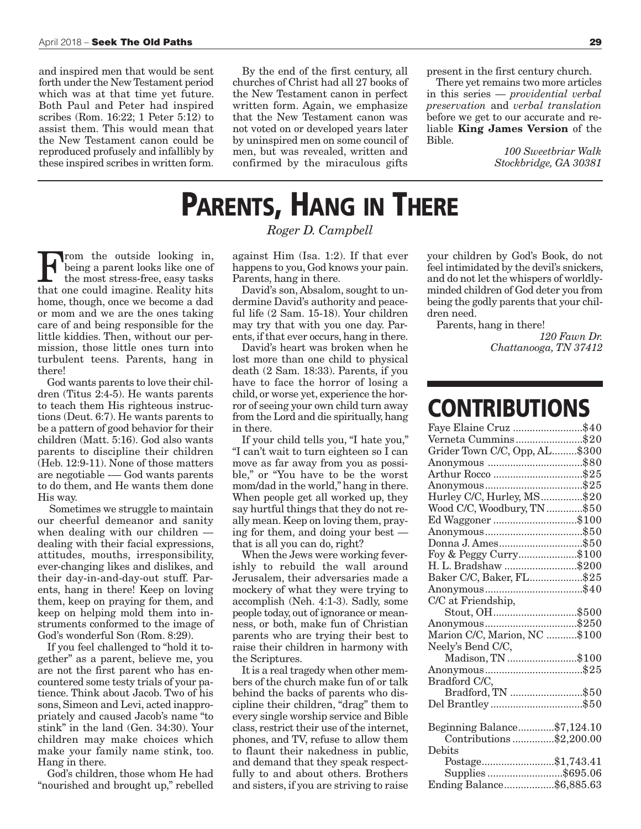and inspired men that would be sent forth under the New Testament period which was at that time yet future. Both Paul and Peter had inspired scribes (Rom. 16:22; 1 Peter 5:12) to assist them. This would mean that the New Testament canon could be reproduced profusely and infallibly by these inspired scribes in written form.

By the end of the first century, all churches of Christ had all 27 books of the New Testament canon in perfect written form. Again, we emphasize that the New Testament canon was not voted on or developed years later by uninspired men on some council of men, but was revealed, written and confirmed by the miraculous gifts

present in the first century church.

There yet remains two more articles in this series — *providential verbal preservation* and *verbal translation* before we get to our accurate and reliable **King James Version** of the Bible.

> *100 Sweetbriar Walk Stockbridge, GA 30381*

## **PARENTS, HANG IN THERE**

#### *Roger D. Campbell*

From the outside looking in, being a parent looks like one of the most stress-free, easy tasks that one could imagine. Reality hits home, though, once we become a dad or mom and we are the ones taking care of and being responsible for the little kiddies. Then, without our permission, those little ones turn into turbulent teens. Parents, hang in there!

God wants parents to love their children (Titus 2:4-5). He wants parents to teach them His righteous instructions (Deut. 6:7). He wants parents to be a pattern of good behavior for their children (Matt. 5:16). God also wants parents to discipline their children (Heb. 12:9-11). None of those matters are negotiable -— God wants parents to do them, and He wants them done His way.

Sometimes we struggle to maintain our cheerful demeanor and sanity when dealing with our children dealing with their facial expressions, attitudes, mouths, irresponsibility, ever-changing likes and dislikes, and their day-in-and-day-out stuff. Parents, hang in there! Keep on loving them, keep on praying for them, and keep on helping mold them into instruments conformed to the image of God's wonderful Son (Rom. 8:29).

If you feel challenged to "hold it together" as a parent, believe me, you are not the first parent who has encountered some testy trials of your patience. Think about Jacob. Two of his sons, Simeon and Levi, acted inappropriately and caused Jacob's name "to stink" in the land (Gen. 34:30). Your children may make choices which make your family name stink, too. Hang in there.

God's children, those whom He had "nourished and brought up," rebelled against Him (Isa. 1:2). If that ever happens to you, God knows your pain. Parents, hang in there.

David's son, Absalom, sought to undermine David's authority and peaceful life (2 Sam. 15-18). Your children may try that with you one day. Parents, if that ever occurs, hang in there.

David's heart was broken when he lost more than one child to physical death (2 Sam. 18:33). Parents, if you have to face the horror of losing a child, or worse yet, experience the horror of seeing your own child turn away from the Lord and die spiritually, hang in there.

If your child tells you, "I hate you," "I can't wait to turn eighteen so I can move as far away from you as possible," or "You have to be the worst mom/dad in the world," hang in there. When people get all worked up, they say hurtful things that they do not really mean. Keep on loving them, praying for them, and doing your best that is all you can do, right?

When the Jews were working feverishly to rebuild the wall around Jerusalem, their adversaries made a mockery of what they were trying to accomplish (Neh. 4:1-3). Sadly, some people today, out of ignorance or meanness, or both, make fun of Christian parents who are trying their best to raise their children in harmony with the Scriptures.

It is a real tragedy when other members of the church make fun of or talk behind the backs of parents who discipline their children, "drag" them to every single worship service and Bible class, restrict their use of the internet, phones, and TV, refuse to allow them to flaunt their nakedness in public, and demand that they speak respectfully to and about others. Brothers and sisters, if you are striving to raise your children by God's Book, do not feel intimidated by the devil's snickers, and do not let the whispers of worldlyminded children of God deter you from being the godly parents that your children need.

Parents, hang in there!

*120 Fawn Dr. Chattanooga, TN 37412*

### **CONTRIBUTIONS**

| Faye Elaine Cruz \$40         |  |
|-------------------------------|--|
| Verneta Cummins\$20           |  |
| Grider Town C/C, Opp, AL\$300 |  |
|                               |  |
|                               |  |
|                               |  |
| Hurley C/C, Hurley, MS\$20    |  |
| Wood C/C, Woodbury, TN \$50   |  |
| Ed Waggoner \$100             |  |
|                               |  |
| Donna J. Ames\$50             |  |
| Foy & Peggy Curry\$100        |  |
| H. L. Bradshaw \$200          |  |
| Baker C/C, Baker, FL\$25      |  |
|                               |  |
| C/C at Friendship,            |  |
| Stout, OH\$500                |  |
|                               |  |
| Marion C/C, Marion, NC \$100  |  |
| Neely's Bend C/C,             |  |
| Madison, TN \$100             |  |
|                               |  |
| Bradford C/C,                 |  |
| Bradford, TN \$50             |  |
| Del Brantley\$50              |  |
|                               |  |
| Beginning Balance\$7,124.10   |  |
| Contributions \$2,200.00      |  |
| Debits                        |  |
| Postage\$1,743.41             |  |
| Supplies\$695.06              |  |
| Ending Balance\$6,885.63      |  |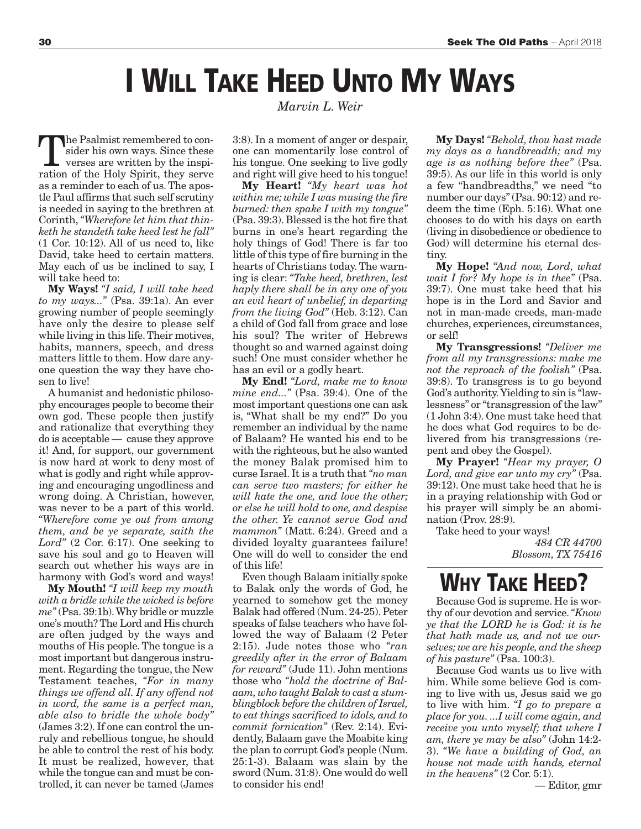## **I WILL TAKE HEED UNTO MY WAYS**

The Psalmist remembered to consider his own ways. Since these verses are written by the inspiration of the Holy Spirit, they serve as a reminder to each of us.The apostle Paul affirms that such self scrutiny is needed in saying to the brethren at Corinth,*"Wherefore let him that thinketh he standeth take heed lest he fall"* (1 Cor. 10:12). All of us need to, like David, take heed to certain matters. May each of us be inclined to say, I will take heed to:

**My Ways!** *"I said, I will take heed to my ways..."* (Psa. 39:1a). An ever growing number of people seemingly have only the desire to please self while living in this life.Their motives, habits, manners, speech, and dress matters little to them. How dare anyone question the way they have chosen to live!

A humanist and hedonistic philosophy encourages people to become their own god. These people then justify and rationalize that everything they do is acceptable — cause they approve it! And, for support, our government is now hard at work to deny most of what is godly and right while approving and encouraging ungodliness and wrong doing. A Christian, however, was never to be a part of this world. *"Wherefore come ye out from among them, and be ye separate, saith the Lord"* (2 Cor. 6:17). One seeking to save his soul and go to Heaven will search out whether his ways are in harmony with God's word and ways!

**My Mouth!** *"I will keep my mouth with a bridle while the wicked is before me"* (Psa. 39:1b).Why bridle or muzzle one's mouth?The Lord and His church are often judged by the ways and mouths of His people.The tongue is a most important but dangerous instrument. Regarding the tongue, the New Testament teaches, *"For in many things we offend all. If any offend not in word, the same is a perfect man, able also to bridle the whole body"* (James 3:2). If one can control the unruly and rebellious tongue, he should be able to control the rest of his body. It must be realized, however, that while the tongue can and must be controlled, it can never be tamed (James

*Marvin L. Weir*

3:8). In a moment of anger or despair, one can momentarily lose control of his tongue. One seeking to live godly and right will give heed to his tongue!

**My Heart!** *"My heart was hot within me; while I was musing the fire burned: then spake I with my tongue"* (Psa. 39:3). Blessed is the hot fire that burns in one's heart regarding the holy things of God! There is far too little of this type of fire burning in the hearts of Christians today. The warning is clear: *"Take heed, brethren, lest haply there shall be in any one of you an evil heart of unbelief, in departing from the living God"* (Heb. 3:12). Can a child of God fall from grace and lose his soul? The writer of Hebrews thought so and warned against doing such! One must consider whether he has an evil or a godly heart.

**My End!** *"Lord, make me to know mine end..."* (Psa. 39:4). One of the most important questions one can ask is, "What shall be my end?" Do you remember an individual by the name of Balaam? He wanted his end to be with the righteous, but he also wanted the money Balak promised him to curse Israel. It is a truth that *"no man can serve two masters; for either he will hate the one, and love the other; or else he will hold to one, and despise the other. Ye cannot serve God and mammon"* (Matt. 6:24). Greed and a divided loyalty guarantees failure! One will do well to consider the end of this life!

Even though Balaam initially spoke to Balak only the words of God, he yearned to somehow get the money Balak had offered (Num. 24-25). Peter speaks of false teachers who have followed the way of Balaam (2 Peter 2:15). Jude notes those who *"ran greedily after in the error of Balaam for reward"* (Jude 11). John mentions those who *"hold the doctrine of Balaam, who taught Balak to cast a stumblingblock before the children of Israel, to eat things sacrificed to idols, and to commit fornication"* (Rev. 2:14). Evidently, Balaam gave the Moabite king the plan to corrupt God's people (Num. 25:1-3). Balaam was slain by the sword (Num. 31:8). One would do well to consider his end!

**My Days!** *"Behold, thou hast made my days as a handbreadth; and my age is as nothing before thee"* (Psa. 39:5). As our life in this world is only a few "handbreadths," we need "to number our days"(Psa. 90:12) and redeem the time (Eph. 5:16). What one chooses to do with his days on earth (living in disobedience or obedience to God) will determine his eternal destiny.

**My Hope!** *"And now, Lord, what wait I for? My hope is in thee"* (Psa. 39:7). One must take heed that his hope is in the Lord and Savior and not in man-made creeds, man-made churches, experiences, circumstances, or self!

**My Transgressions!** *"Deliver me from all my transgressions: make me not the reproach of the foolish"* (Psa. 39:8). To transgress is to go beyond God's authority.Yielding to sin is "lawlessness" or "transgression of the law" (1 John 3:4). One must take heed that he does what God requires to be delivered from his transgressions (repent and obey the Gospel).

**My Prayer!** *"Hear my prayer, O Lord, and give ear unto my cry"* (Psa. 39:12). One must take heed that he is in a praying relationship with God or his prayer will simply be an abomination (Prov. 28:9).

Take heed to your ways! *484 CR 44700 Blossom, TX 75416*

### **WHY TAKE HEED?**

Because God is supreme. He is worthy of our devotion and service.*"Know ye that the LORD he is God: it is he that hath made us, and not we ourselves; we are his people, and the sheep of his pasture"* (Psa. 100:3).

Because God wants us to live with him. While some believe God is coming to live with us, Jesus said we go to live with him. *"I go to prepare a place for you. ...I will come again, and receive you unto myself; that where I am, there ye may be also"* (John 14:2- 3). *"We have a building of God, an house not made with hands, eternal in the heavens"* (2 Cor. 5:1).

— Editor, gmr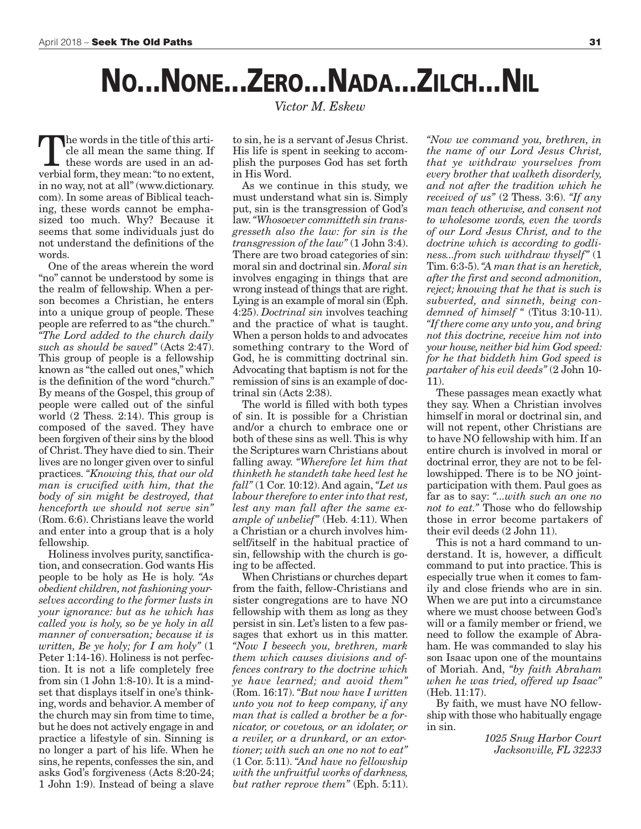# **NO...NONE...ZERO...NADA...ZILCH...NIL**

the words in the title of this article all mean the same thing. If these words are used in an adverbial form, they mean: "to no extent, in no way, not at all" (www.dictionary. com). In some areas of Biblical teaching, these words cannot be emphasized too much. Why? Because it seems that some individuals just do not understand the definitions of the words.

One of the areas wherein the word "no" cannot be understood by some is the realm of fellowship. When a person becomes a Christian, he enters into a unique group of people. These people are referred to as "the church." *"The Lord added to the church daily such as should be saved"* (Acts 2:47). This group of people is a fellowship known as "the called out ones," which is the definition of the word "church." By means of the Gospel, this group of people were called out of the sinful world (2 Thess. 2:14). This group is composed of the saved. They have been forgiven of their sins by the blood of Christ.They have died to sin.Their lives are no longer given over to sinful practices. *"Knowing this, that our old man is crucified with him, that the body of sin might be destroyed, that henceforth we should not serve sin"* (Rom. 6:6). Christians leave the world and enter into a group that is a holy fellowship.

Holiness involves purity, sanctification, and consecration. God wants His people to be holy as He is holy. *"As obedient children, not fashioning yourselves according to the former lusts in your ignorance: but as he which has called you is holy, so be ye holy in all manner of conversation; because it is written, Be ye holy; for I am holy"* (1 Peter 1:14-16). Holiness is not perfection. It is not a life completely free from  $\sin(1$  John 1:8-10). It is a mindset that displays itself in one's thinking, words and behavior. A member of the church may sin from time to time, but he does not actively engage in and practice a lifestyle of sin. Sinning is no longer a part of his life. When he sins, he repents, confesses the sin, and asks God's forgiveness (Acts 8:20-24; 1 John 1:9). Instead of being a slave

*Victor M. Eskew*

to sin, he is a servant of Jesus Christ. His life is spent in seeking to accomplish the purposes God has set forth in His Word.

As we continue in this study, we must understand what sin is. Simply put, sin is the transgression of God's law.*"Whosoever committeth sin transgresseth also the law: for sin is the transgression of the law"* (1 John 3:4). There are two broad categories of sin: moral sin and doctrinal sin. *Moral sin* involves engaging in things that are wrong instead of things that are right. Lying is an example of moral sin (Eph. 4:25). *Doctrinal sin* involves teaching and the practice of what is taught. When a person holds to and advocates something contrary to the Word of God, he is committing doctrinal sin. Advocating that baptism is not for the remission of sins is an example of doctrinal sin (Acts 2:38).

The world is filled with both types of sin. It is possible for a Christian and/or a church to embrace one or both of these sins as well.This is why the Scriptures warn Christians about falling away. *"Wherefore let him that thinketh he standeth take heed lest he fall"* (1 Cor. 10:12). And again, *"Let us labour therefore to enter into that rest, lest any man fall after the same example of unbelief"* (Heb. 4:11). When a Christian or a church involves himself/itself in the habitual practice of sin, fellowship with the church is going to be affected.

When Christians or churches depart from the faith, fellow-Christians and sister congregations are to have NO fellowship with them as long as they persist in sin. Let's listen to a few passages that exhort us in this matter. *"Now I beseech you, brethren, mark them which causes divisions and offences contrary to the doctrine which ye have learned; and avoid them"* (Rom. 16:17). *"But now have I written unto you not to keep company, if any man that is called a brother be a fornicator, or covetous, or an idolater, or a reviler, or a drunkard, or an extortioner; with such an one no not to eat"* (1 Cor. 5:11). *"And have no fellowship with the unfruitful works of darkness, but rather reprove them"* (Eph. 5:11).

*"Now we command you, brethren, in the name of our Lord Jesus Christ, that ye withdraw yourselves from every brother that walketh disorderly, and not after the tradition which he received of us"* (2 Thess. 3:6). *"If any man teach otherwise, and consent not to wholesome words, even the words of our Lord Jesus Christ, and to the doctrine which is according to godliness...from such withdraw thyself"* (1 Tim. 6:3-5).*"A man that is an heretick, after the first and second admonition, reject; knowing that he that is such is subverted, and sinneth, being condemned of himself "* (Titus 3:10-11). *"If there come any unto you, and bring not this doctrine, receive him not into your house, neither bid him God speed: for he that biddeth him God speed is partaker of his evil deeds"* (2 John 10- 11).

These passages mean exactly what they say. When a Christian involves himself in moral or doctrinal sin, and will not repent, other Christians are to have NO fellowship with him. If an entire church is involved in moral or doctrinal error, they are not to be fellowshipped. There is to be NO jointparticipation with them. Paul goes as far as to say: *"...with such an one no not to eat."* Those who do fellowship those in error become partakers of their evil deeds (2 John 11).

This is not a hard command to understand. It is, however, a difficult command to put into practice. This is especially true when it comes to family and close friends who are in sin. When we are put into a circumstance where we must choose between God's will or a family member or friend, we need to follow the example of Abraham. He was commanded to slay his son Isaac upon one of the mountains of Moriah. And, *"by faith Abraham when he was tried, offered up Isaac"* (Heb. 11:17).

By faith, we must have NO fellowship with those who habitually engage in sin.

> *1025 Snug Harbor Court Jacksonville, FL 32233*